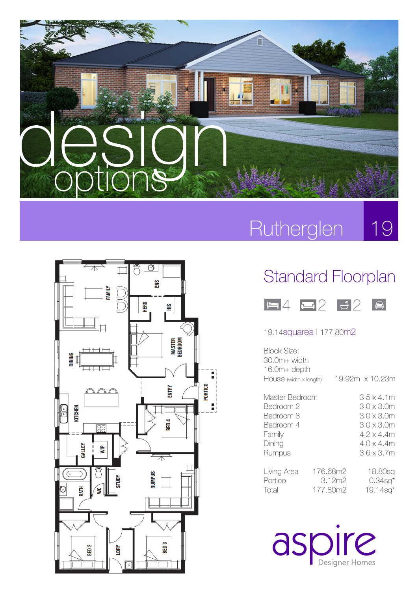



### Rutherglen 19

## Standard Floorplan



#### 19.14squares l 177.80m2

| Block Size:<br>30.0m+ width<br>$16.0m + depth$<br>HOUSE (width x length):           |                                | 19.92m x 10.23m                                                                                                |
|-------------------------------------------------------------------------------------|--------------------------------|----------------------------------------------------------------------------------------------------------------|
| Master Bedroom<br>Bedroom 2<br>Bedroom 3<br>Bedroom 4<br>Family<br>Dining<br>Rumpus |                                | $3.5 \times 4.1$ m<br>3.0 x 3.0m<br>3.0 x 3.0m<br>3.0 x 3.0m<br>4.2 x 4.4m<br>$4.0 \times 4.4$ m<br>3.6 x 3.7m |
| Living Area<br>Portico<br>lotal                                                     | 176.68m2<br>3.12m2<br>177.80m2 | 18.80sq<br>$0.34$ sq <sup>*</sup><br>$19.14$ sa $*$                                                            |

aspire